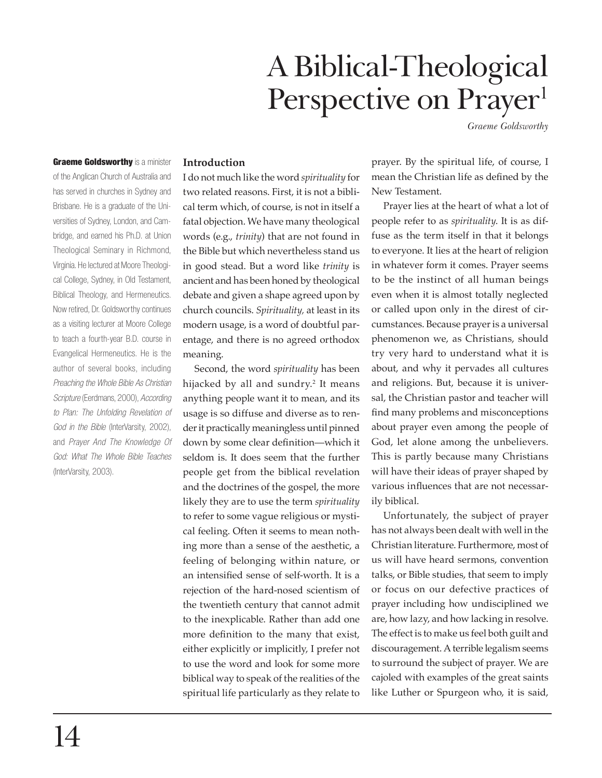# A Biblical-Theological Perspective on Prayer<sup>1</sup>

*Graeme Goldsworthy*

**Graeme Goldsworthy** is a minister of the Anglican Church of Australia and has served in churches in Sydney and Brisbane. He is a graduate of the Universities of Sydney, London, and Cambridge, and earned his Ph.D. at Union Theological Seminary in Richmond, Virginia. He lectured at Moore Theological College, Sydney, in Old Testament, Biblical Theology, and Hermeneutics. Now retired, Dr. Goldsworthy continues as a visiting lecturer at Moore College to teach a fourth-year B.D. course in Evangelical Hermeneutics. He is the author of several books, including *Preaching the Whole Bible As Christian Scripture* (Eerdmans, 2000), *According to Plan: The Unfolding Revelation of God in the Bible* (InterVarsity, 2002), and *Prayer And The Knowledge Of God: What The Whole Bible Teaches* (InterVarsity, 2003).

## **Introduction**

I do not much like the word *spirituality* for two related reasons. First, it is not a biblical term which, of course, is not in itself a fatal objection. We have many theological words (e.g., *trinity*) that are not found in the Bible but which nevertheless stand us in good stead. But a word like *trinity* is ancient and has been honed by theological debate and given a shape agreed upon by church councils. *Spirituality,* at least in its modern usage, is a word of doubtful parentage, and there is no agreed orthodox meaning.

Second, the word *spirituality* has been hijacked by all and sundry.<sup>2</sup> It means anything people want it to mean, and its usage is so diffuse and diverse as to render it practically meaningless until pinned down by some clear definition—which it seldom is. It does seem that the further people get from the biblical revelation and the doctrines of the gospel, the more likely they are to use the term *spirituality*  to refer to some vague religious or mystical feeling. Often it seems to mean nothing more than a sense of the aesthetic, a feeling of belonging within nature, or an intensified sense of self-worth. It is a rejection of the hard-nosed scientism of the twentieth century that cannot admit to the inexplicable. Rather than add one more definition to the many that exist, either explicitly or implicitly, I prefer not to use the word and look for some more biblical way to speak of the realities of the spiritual life particularly as they relate to

prayer. By the spiritual life, of course, I mean the Christian life as defined by the New Testament.

Prayer lies at the heart of what a lot of people refer to as *spirituality*. It is as diffuse as the term itself in that it belongs to everyone. It lies at the heart of religion in whatever form it comes. Prayer seems to be the instinct of all human beings even when it is almost totally neglected or called upon only in the direst of circumstances. Because prayer is a universal phenomenon we, as Christians, should try very hard to understand what it is about, and why it pervades all cultures and religions. But, because it is universal, the Christian pastor and teacher will find many problems and misconceptions about prayer even among the people of God, let alone among the unbelievers. This is partly because many Christians will have their ideas of prayer shaped by various influences that are not necessarily biblical.

Unfortunately, the subject of prayer has not always been dealt with well in the Christian literature. Furthermore, most of us will have heard sermons, convention talks, or Bible studies, that seem to imply or focus on our defective practices of prayer including how undisciplined we are, how lazy, and how lacking in resolve. The effect is to make us feel both guilt and discouragement. A terrible legalism seems to surround the subject of prayer. We are cajoled with examples of the great saints like Luther or Spurgeon who, it is said,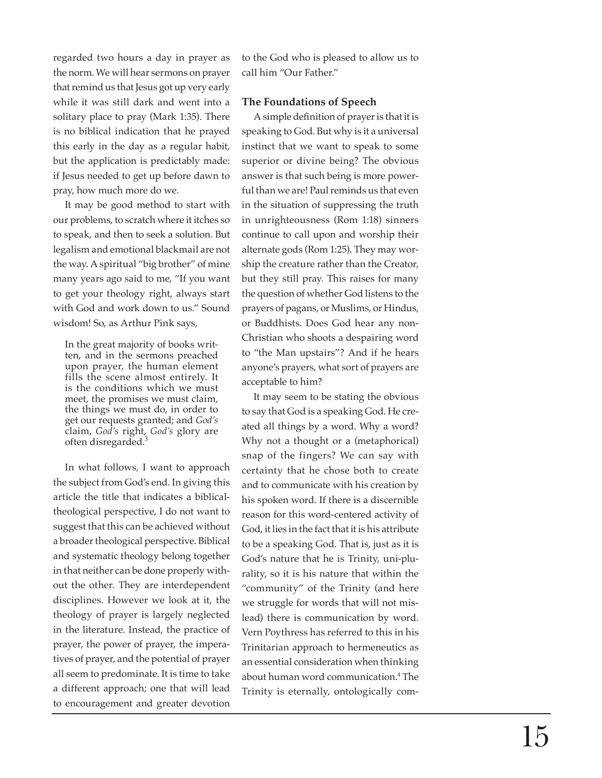regarded two hours a day in prayer as the norm. We will hear sermons on prayer that remind us that Jesus got up very early while it was still dark and went into a solitary place to pray (Mark 1:35). There is no biblical indication that he prayed this early in the day as a regular habit, but the application is predictably made: if Jesus needed to get up before dawn to pray, how much more do we.

It may be good method to start with our problems, to scratch where it itches so to speak, and then to seek a solution. But legalism and emotional blackmail are not the way. A spiritual "big brother" of mine many years ago said to me, "If you want to get your theology right, always start with God and work down to us." Sound wisdom! So, as Arthur Pink says,

In the great majority of books written, and in the sermons preached upon prayer, the human element fills the scene almost entirely. It is the conditions which we must meet, the promises we must claim, the things we must do, in order to get our requests granted; and *God's* claim, *God's* right, *God's* glory are often disregarded. 3

In what follows, I want to approach the subject from God's end. In giving this article the title that indicates a biblicaltheological perspective, I do not want to suggest that this can be achieved without a broader theological perspective. Biblical and systematic theology belong together in that neither can be done properly without the other. They are interdependent disciplines. However we look at it, the theology of prayer is largely neglected in the literature. Instead, the practice of prayer, the power of prayer, the imperatives of prayer, and the potential of prayer all seem to predominate. It is time to take a different approach; one that will lead to encouragement and greater devotion

to the God who is pleased to allow us to call him "Our Father."

## **The Foundations of Speech**

A simple de fi nition of prayer is that it is speaking to God. But why is it a universal instinct that we want to speak to some superior or divine being? The obvious answer is that such being is more powerful than we are! Paul reminds us that even in the situation of suppressing the truth in unrighteousness (Rom 1:18) sinners continue to call upon and worship their alternate gods (Rom 1:25). They may worship the creature rather than the Creator, but they still pray. This raises for many the question of whether God listens to the prayers of pagans, or Muslims, or Hindus, or Buddhists. Does God hear any non-Christian who shoots a despairing word to "the Man upstairs"? And if he hears anyone's prayers, what sort of prayers are acceptable to him?

It may seem to be stating the obvious to say that God is a speaking God. He created all things by a word. Why a word? Why not a thought or a (metaphorical) snap of the fingers? We can say with certainty that he chose both to create and to communicate with his creation by his spoken word. If there is a discernible reason for this word-centered activity of God, it lies in the fact that it is his attribute to be a speaking God. That is, just as it is God's nature that he is Trinity, uni-plurality, so it is his nature that within the "community" of the Trinity (and here we struggle for words that will not mislead) there is communication by word. Vern Poythress has referred to this in his Trinitarian approach to hermeneutics as an essential consideration when thinking about human word communication. 4 The Trinity is eternally, ontologically com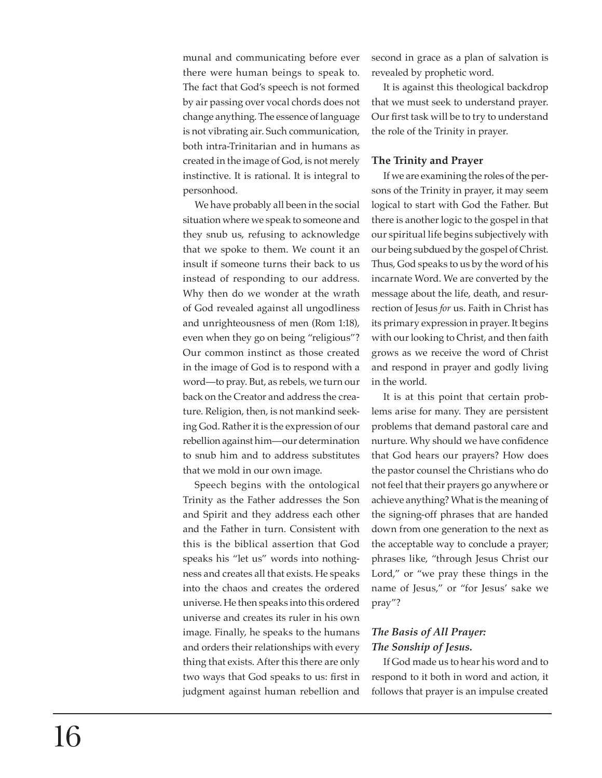munal and communicating before ever there were human beings to speak to. The fact that God's speech is not formed by air passing over vocal chords does not change anything. The essence of language is not vibrating air. Such communication, both intra-Trinitarian and in humans as created in the image of God, is not merely instinctive. It is rational. It is integral to personhood.

We have probably all been in the social situation where we speak to someone and they snub us, refusing to acknowledge that we spoke to them. We count it an insult if someone turns their back to us instead of responding to our address. Why then do we wonder at the wrath of God revealed against all ungodliness and unrighteousness of men (Rom 1:18), even when they go on being "religious"? Our common instinct as those created in the image of God is to respond with a word—to pray. But, as rebels, we turn our back on the Creator and address the creature. Religion, then, is not mankind seeking God. Rather it is the expression of our rebellion against him—our determination to snub him and to address substitutes that we mold in our own image.

Speech begins with the ontological Trinity as the Father addresses the Son and Spirit and they address each other and the Father in turn. Consistent with this is the biblical assertion that God speaks his "let us" words into nothingness and creates all that exists. He speaks into the chaos and creates the ordered universe. He then speaks into this ordered universe and creates its ruler in his own image. Finally, he speaks to the humans and orders their relationships with every thing that exists. After this there are only two ways that God speaks to us: first in judgment against human rebellion and

second in grace as a plan of salvation is revealed by prophetic word.

It is against this theological backdrop that we must seek to understand prayer. Our first task will be to try to understand the role of the Trinity in prayer.

## **The Trinity and Prayer**

If we are examining the roles of the persons of the Trinity in prayer, it may seem logical to start with God the Father. But there is another logic to the gospel in that our spiritual life begins subjectively with our being subdued by the gospel of Christ. Thus, God speaks to us by the word of his incarnate Word. We are converted by the message about the life, death, and resurrection of Jesus *for* us. Faith in Christ has its primary expression in prayer. It begins with our looking to Christ, and then faith grows as we receive the word of Christ and respond in prayer and godly living in the world.

It is at this point that certain problems arise for many. They are persistent problems that demand pastoral care and nurture. Why should we have confidence that God hears our prayers? How does the pastor counsel the Christians who do not feel that their prayers go anywhere or achieve anything? What is the meaning of the signing-off phrases that are handed down from one generation to the next as the acceptable way to conclude a prayer; phrases like, "through Jesus Christ our Lord," or "we pray these things in the name of Jesus," or "for Jesus' sake we pray"?

# *The Basis of All Prayer: The Sonship of Jesus.*

If God made us to hear his word and to respond to it both in word and action, it follows that prayer is an impulse created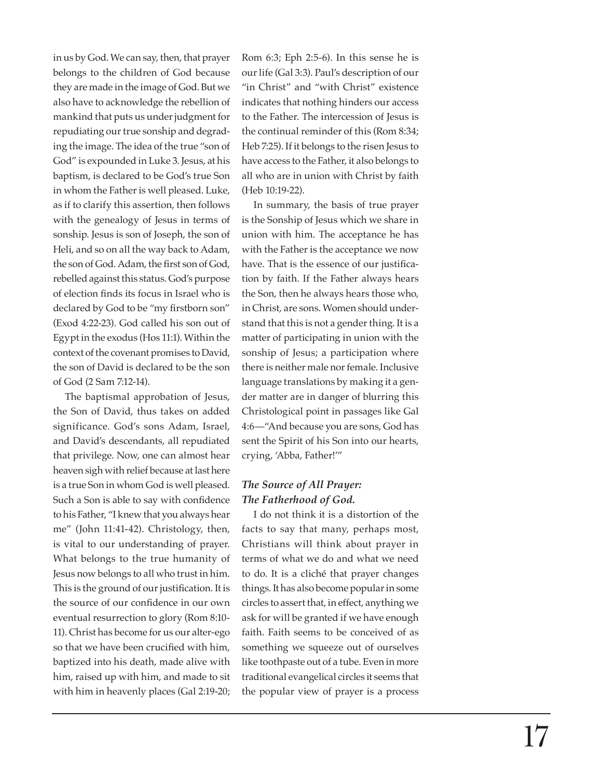in us by God. We can say, then, that prayer belongs to the children of God because they are made in the image of God. But we also have to acknowledge the rebellion of mankind that puts us under judgment for repudiating our true sonship and degrading the image. The idea of the true "son of God" is expounded in Luke 3. Jesus, at his baptism, is declared to be God's true Son in whom the Father is well pleased. Luke, as if to clarify this assertion, then follows with the genealogy of Jesus in terms of sonship. Jesus is son of Joseph, the son of Heli, and so on all the way back to Adam, the son of God. Adam, the first son of God, rebelled against this status. God's purpose of election finds its focus in Israel who is declared by God to be "my firstborn son" (Exod 4:22-23). God called his son out of Egypt in the exodus (Hos 11:1). Within the context of the covenant promises to David, the son of David is declared to be the son of God (2 Sam 7:12-14).

The baptismal approbation of Jesus, the Son of David, thus takes on added significance. God's sons Adam, Israel, and David's descendants, all repudiated that privilege. Now, one can almost hear heaven sigh with relief because at last here is a true Son in whom God is well pleased. Such a Son is able to say with confidence to his Father, "I knew that you always hear me" (John 11:41-42). Christology, then, is vital to our understanding of prayer. What belongs to the true humanity of Jesus now belongs to all who trust in him. This is the ground of our justification. It is the source of our confidence in our own eventual resurrection to glory (Rom 8:10- 11). Christ has become for us our alter-ego so that we have been crucified with him, baptized into his death, made alive with him, raised up with him, and made to sit with him in heavenly places (Gal 2:19-20; Rom 6:3; Eph 2:5-6). In this sense he is our life (Gal 3:3). Paul's description of our "in Christ" and "with Christ" existence indicates that nothing hinders our access to the Father. The intercession of Jesus is the continual reminder of this (Rom 8:34; Heb 7:25). If it belongs to the risen Jesus to have access to the Father, it also belongs to all who are in union with Christ by faith (Heb 10:19-22).

In summary, the basis of true prayer is the Sonship of Jesus which we share in union with him. The acceptance he has with the Father is the acceptance we now have. That is the essence of our justification by faith. If the Father always hears the Son, then he always hears those who, in Christ, are sons. Women should understand that this is not a gender thing. It is a matter of participating in union with the sonship of Jesus; a participation where there is neither male nor female. Inclusive language translations by making it a gender matter are in danger of blurring this Christological point in passages like Gal 4:6—"And because you are sons, God has sent the Spirit of his Son into our hearts, crying, 'Abba, Father!'"

## *The Source of All Prayer: The Fatherhood of God.*

I do not think it is a distortion of the facts to say that many, perhaps most, Christians will think about prayer in terms of what we do and what we need to do. It is a cliché that prayer changes things. It has also become popular in some circles to assert that, in effect, anything we ask for will be granted if we have enough faith. Faith seems to be conceived of as something we squeeze out of ourselves like toothpaste out of a tube. Even in more traditional evangelical circles it seems that the popular view of prayer is a process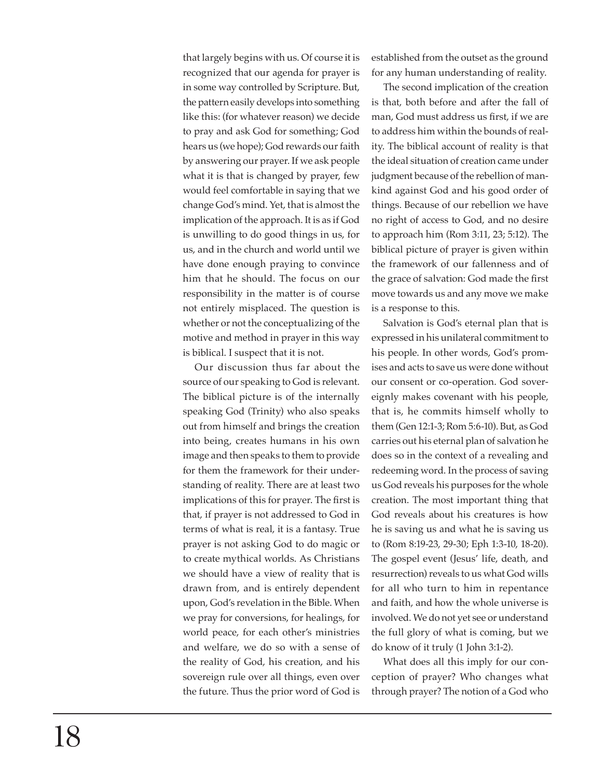that largely begins with us. Of course it is recognized that our agenda for prayer is in some way controlled by Scripture. But, the pattern easily develops into something like this: (for whatever reason) we decide to pray and ask God for something; God hears us (we hope); God rewards our faith by answering our prayer. If we ask people what it is that is changed by prayer, few would feel comfortable in saying that we change God's mind. Yet, that is almost the implication of the approach. It is as if God is unwilling to do good things in us, for us, and in the church and world until we have done enough praying to convince him that he should. The focus on our responsibility in the matter is of course not entirely misplaced. The question is whether or not the conceptualizing of the motive and method in prayer in this way is biblical. I suspect that it is not.

Our discussion thus far about the source of our speaking to God is relevant. The biblical picture is of the internally speaking God (Trinity) who also speaks out from himself and brings the creation into being, creates humans in his own image and then speaks to them to provide for them the framework for their understanding of reality. There are at least two implications of this for prayer. The first is that, if prayer is not addressed to God in terms of what is real, it is a fantasy. True prayer is not asking God to do magic or to create mythical worlds. As Christians we should have a view of reality that is drawn from, and is entirely dependent upon, God's revelation in the Bible. When we pray for conversions, for healings, for world peace, for each other's ministries and welfare, we do so with a sense of the reality of God, his creation, and his sovereign rule over all things, even over the future. Thus the prior word of God is established from the outset as the ground for any human understanding of reality.

The second implication of the creation is that, both before and after the fall of man, God must address us first, if we are to address him within the bounds of reality. The biblical account of reality is that the ideal situation of creation came under judgment because of the rebellion of mankind against God and his good order of things. Because of our rebellion we have no right of access to God, and no desire to approach him (Rom 3:11, 23; 5:12). The biblical picture of prayer is given within the framework of our fallenness and of the grace of salvation: God made the first move towards us and any move we make is a response to this.

Salvation is God's eternal plan that is expressed in his unilateral commitment to his people. In other words, God's promises and acts to save us were done without our consent or co-operation. God sovereignly makes covenant with his people, that is, he commits himself wholly to them (Gen 12:1-3; Rom 5:6-10). But, as God carries out his eternal plan of salvation he does so in the context of a revealing and redeeming word. In the process of saving us God reveals his purposes for the whole creation. The most important thing that God reveals about his creatures is how he is saving us and what he is saving us to (Rom 8:19-23, 29-30; Eph 1:3-10, 18-20). The gospel event (Jesus' life, death, and resurrection) reveals to us what God wills for all who turn to him in repentance and faith, and how the whole universe is involved. We do not yet see or understand the full glory of what is coming, but we do know of it truly (1 John 3:1-2).

What does all this imply for our conception of prayer? Who changes what through prayer? The notion of a God who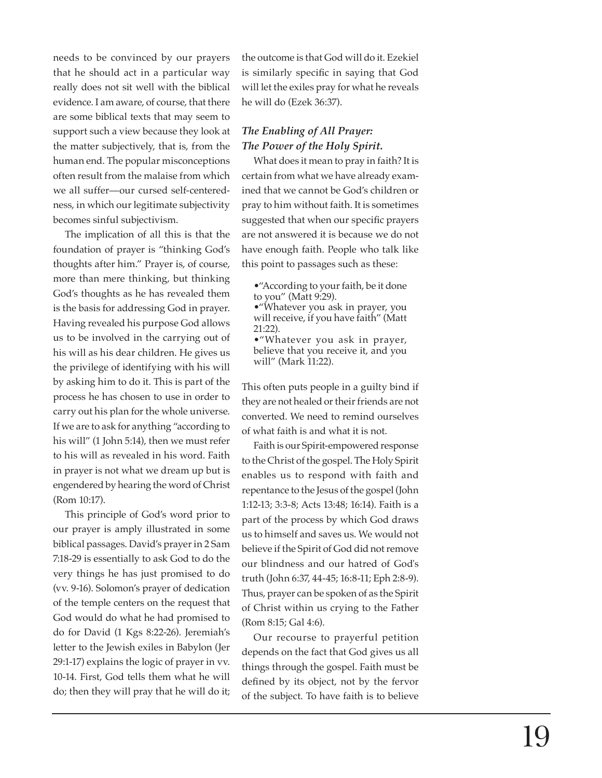needs to be convinced by our prayers that he should act in a particular way really does not sit well with the biblical evidence. I am aware, of course, that there are some biblical texts that may seem to support such a view because they look at the matter subjectively, that is, from the human end. The popular misconceptions often result from the malaise from which we all suffer—our cursed self-centeredness, in which our legitimate subjectivity becomes sinful subjectivism.

The implication of all this is that the foundation of prayer is "thinking God's thoughts after him." Prayer is, of course, more than mere thinking, but thinking God's thoughts as he has revealed them is the basis for addressing God in prayer. Having revealed his purpose God allows us to be involved in the carrying out of his will as his dear children. He gives us the privilege of identifying with his will by asking him to do it. This is part of the process he has chosen to use in order to carry out his plan for the whole universe. If we are to ask for anything "according to his will" (1 John 5:14), then we must refer to his will as revealed in his word. Faith in prayer is not what we dream up but is engendered by hearing the word of Christ (Rom 10:17).

This principle of God's word prior to our prayer is amply illustrated in some biblical passages. David's prayer in 2 Sam 7:18-29 is essentially to ask God to do the very things he has just promised to do (vv. 9-16). Solomon's prayer of dedication of the temple centers on the request that God would do what he had promised to do for David (1 Kgs 8:22-26). Jeremiah's letter to the Jewish exiles in Babylon (Jer 29:1-17) explains the logic of prayer in vv. 10-14. First, God tells them what he will do; then they will pray that he will do it;

the outcome is that God will do it. Ezekiel is similarly speci fi c in saying that God will let the exiles pray for what he reveals he will do (Ezek 36:37).

# *The Enabling of All Prayer: The Power of the Holy Spirit.*

What does it mean to pray in faith? It is certain from what we have already examined that we cannot be God's children or pray to him without faith. It is sometimes suggested that when our speci fi c prayers are not answered it is because we do not have enough faith. People who talk like this point to passages such as these:

•"According to your faith, be it done to you" (Matt 9:29). •"Whatever you ask in prayer, you will receive, if you have faith" (Matt 21:22). •"Whatever you ask in prayer, believe that you receive it, and you will" (Mark 11:22).

This often puts people in a guilty bind if they are not healed or their friends are not converted. We need to remind ourselves of what faith is and what it is not.

Faith is our Spirit-empowered response to the Christ of the gospel. The Holy Spirit enables us to respond with faith and repentance to the Jesus of the gospel (John 1:12-13; 3:3-8; Acts 13:48; 16:14). Faith is a part of the process by which God draws us to himself and saves us. We would not believe if the Spirit of God did not remove our blindness and our hatred of God's truth (John 6:37, 44-45; 16:8-11; Eph 2:8-9). Thus, prayer can be spoken of as the Spirit of Christ within us crying to the Father (Rom 8:15; Gal 4:6).

Our recourse to prayerful petition depends on the fact that God gives us all things through the gospel. Faith must be de fi ned by its object, not by the fervor of the subject. To have faith is to believe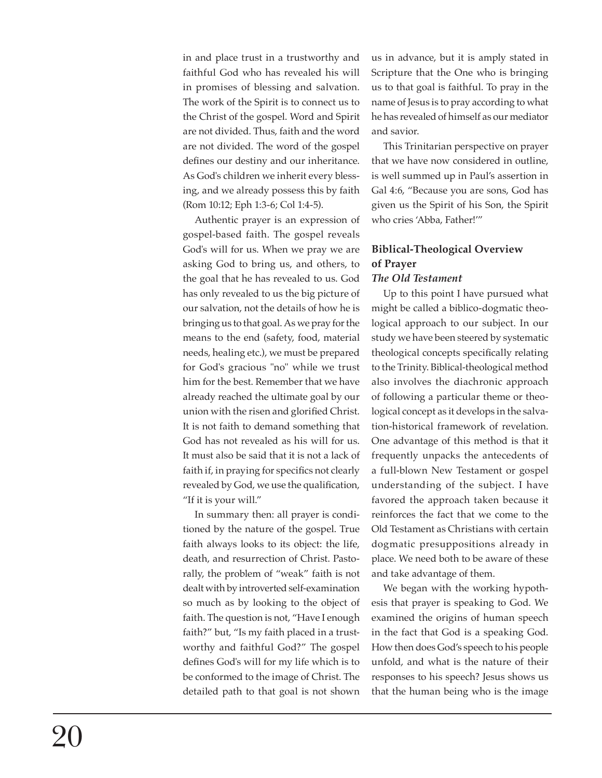in and place trust in a trustworthy and faithful God who has revealed his will in promises of blessing and salvation. The work of the Spirit is to connect us to the Christ of the gospel. Word and Spirit are not divided. Thus, faith and the word are not divided. The word of the gospel defines our destiny and our inheritance. As God's children we inherit every blessing, and we already possess this by faith (Rom 10:12; Eph 1:3-6; Col 1:4-5).

Authentic prayer is an expression of gospel-based faith. The gospel reveals God's will for us. When we pray we are asking God to bring us, and others, to the goal that he has revealed to us. God has only revealed to us the big picture of our salvation, not the details of how he is bringing us to that goal. As we pray for the means to the end (safety, food, material needs, healing etc.), we must be prepared for God's gracious "no" while we trust him for the best. Remember that we have already reached the ultimate goal by our union with the risen and glorified Christ. It is not faith to demand something that God has not revealed as his will for us. It must also be said that it is not a lack of faith if, in praying for specifics not clearly revealed by God, we use the qualification, "If it is your will."

In summary then: all prayer is conditioned by the nature of the gospel. True faith always looks to its object: the life, death, and resurrection of Christ. Pastorally, the problem of "weak" faith is not dealt with by introverted self-examination so much as by looking to the object of faith. The question is not, "Have I enough faith?" but, "Is my faith placed in a trustworthy and faithful God?" The gospel defines God's will for my life which is to be conformed to the image of Christ. The detailed path to that goal is not shown

us in advance, but it is amply stated in Scripture that the One who is bringing us to that goal is faithful. To pray in the name of Jesus is to pray according to what he has revealed of himself as our mediator and savior.

This Trinitarian perspective on prayer that we have now considered in outline, is well summed up in Paul's assertion in Gal 4:6, "Because you are sons, God has given us the Spirit of his Son, the Spirit who cries 'Abba, Father!'"

## **Biblical-Theological Overview of Prayer** *The Old Testament*

Up to this point I have pursued what might be called a biblico-dogmatic theological approach to our subject. In our study we have been steered by systematic theological concepts specifically relating to the Trinity. Biblical-theological method also involves the diachronic approach of following a particular theme or theological concept as it develops in the salvation-historical framework of revelation. One advantage of this method is that it frequently unpacks the antecedents of a full-blown New Testament or gospel understanding of the subject. I have favored the approach taken because it reinforces the fact that we come to the Old Testament as Christians with certain dogmatic presuppositions already in place. We need both to be aware of these and take advantage of them.

We began with the working hypothesis that prayer is speaking to God. We examined the origins of human speech in the fact that God is a speaking God. How then does God's speech to his people unfold, and what is the nature of their responses to his speech? Jesus shows us that the human being who is the image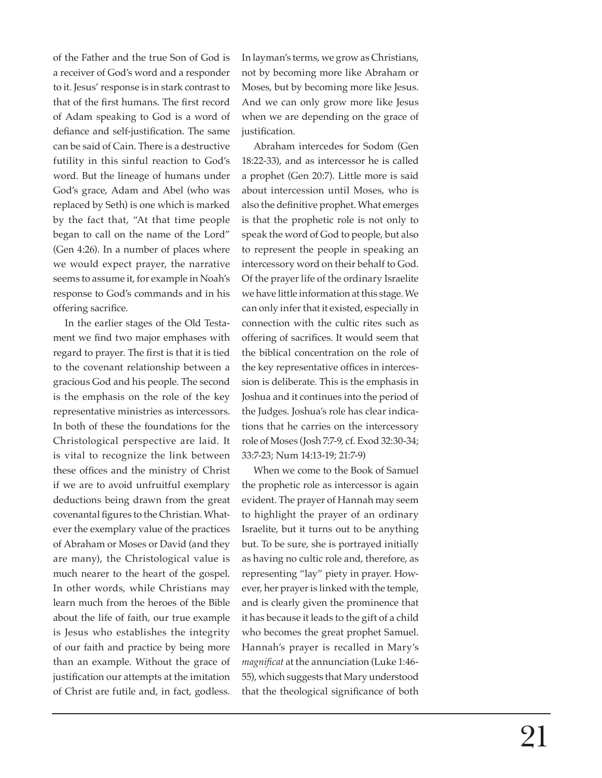of the Father and the true Son of God is a receiver of God's word and a responder to it. Jesus' response is in stark contrast to that of the first humans. The first record of Adam speaking to God is a word of defiance and self-justification. The same can be said of Cain. There is a destructive futility in this sinful reaction to God's word. But the lineage of humans under God's grace, Adam and Abel (who was replaced by Seth) is one which is marked by the fact that, "At that time people began to call on the name of the Lord" (Gen 4:26). In a number of places where we would expect prayer, the narrative seems to assume it, for example in Noah's response to God's commands and in his offering sacrifice.

In the earlier stages of the Old Testament we find two major emphases with regard to prayer. The first is that it is tied to the covenant relationship between a gracious God and his people. The second is the emphasis on the role of the key representative ministries as intercessors. In both of these the foundations for the Christological perspective are laid. It is vital to recognize the link between these offices and the ministry of Christ if we are to avoid unfruitful exemplary deductions being drawn from the great covenantal figures to the Christian. Whatever the exemplary value of the practices of Abraham or Moses or David (and they are many), the Christological value is much nearer to the heart of the gospel. In other words, while Christians may learn much from the heroes of the Bible about the life of faith, our true example is Jesus who establishes the integrity of our faith and practice by being more than an example. Without the grace of justification our attempts at the imitation of Christ are futile and, in fact, godless.

In layman's terms, we grow as Christians, not by becoming more like Abraham or Moses, but by becoming more like Jesus. And we can only grow more like Jesus when we are depending on the grace of justification.

Abraham intercedes for Sodom (Gen 18:22-33), and as intercessor he is called a prophet (Gen 20:7). Little more is said about intercession until Moses, who is also the definitive prophet. What emerges is that the prophetic role is not only to speak the word of God to people, but also to represent the people in speaking an intercessory word on their behalf to God. Of the prayer life of the ordinary Israelite we have little information at this stage. We can only infer that it existed, especially in connection with the cultic rites such as offering of sacrifices. It would seem that the biblical concentration on the role of the key representative offices in intercession is deliberate. This is the emphasis in Joshua and it continues into the period of the Judges. Joshua's role has clear indications that he carries on the intercessory role of Moses (Josh 7:7-9, cf. Exod 32:30-34; 33:7-23; Num 14:13-19; 21:7-9)

When we come to the Book of Samuel the prophetic role as intercessor is again evident. The prayer of Hannah may seem to highlight the prayer of an ordinary Israelite, but it turns out to be anything but. To be sure, she is portrayed initially as having no cultic role and, therefore, as representing "lay" piety in prayer. However, her prayer is linked with the temple, and is clearly given the prominence that it has because it leads to the gift of a child who becomes the great prophet Samuel. Hannah's prayer is recalled in Mary's *magnifi cat* at the annunciation (Luke 1:46- 55), which suggests that Mary understood that the theological significance of both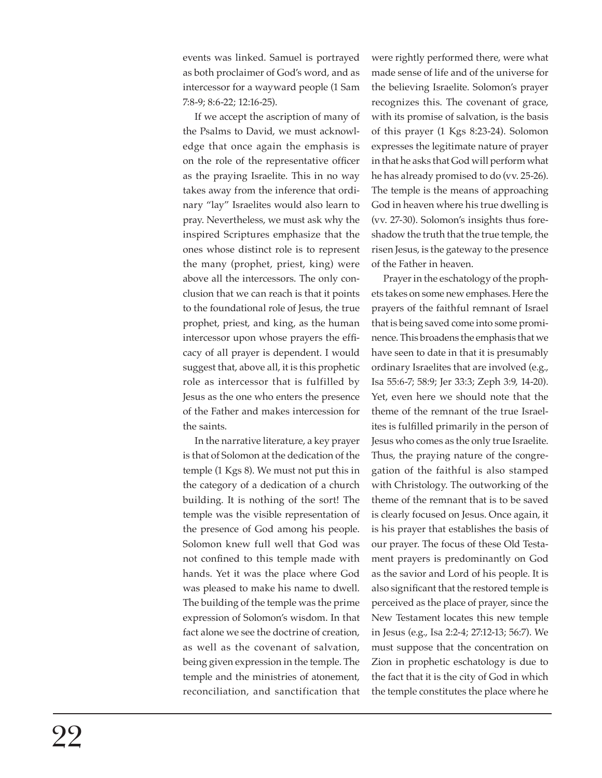events was linked. Samuel is portrayed as both proclaimer of God's word, and as intercessor for a wayward people (1 Sam 7:8-9; 8:6-22; 12:16-25).

If we accept the ascription of many of the Psalms to David, we must acknowledge that once again the emphasis is on the role of the representative officer as the praying Israelite. This in no way takes away from the inference that ordinary "lay" Israelites would also learn to pray. Nevertheless, we must ask why the inspired Scriptures emphasize that the ones whose distinct role is to represent the many (prophet, priest, king) were above all the intercessors. The only conclusion that we can reach is that it points to the foundational role of Jesus, the true prophet, priest, and king, as the human intercessor upon whose prayers the efficacy of all prayer is dependent. I would suggest that, above all, it is this prophetic role as intercessor that is fulfilled by Jesus as the one who enters the presence of the Father and makes intercession for the saints.

In the narrative literature, a key prayer is that of Solomon at the dedication of the temple (1 Kgs 8). We must not put this in the category of a dedication of a church building. It is nothing of the sort! The temple was the visible representation of the presence of God among his people. Solomon knew full well that God was not confined to this temple made with hands. Yet it was the place where God was pleased to make his name to dwell. The building of the temple was the prime expression of Solomon's wisdom. In that fact alone we see the doctrine of creation, as well as the covenant of salvation, being given expression in the temple. The temple and the ministries of atonement, reconciliation, and sanctification that were rightly performed there, were what made sense of life and of the universe for the believing Israelite. Solomon's prayer recognizes this. The covenant of grace, with its promise of salvation, is the basis of this prayer (1 Kgs 8:23-24). Solomon expresses the legitimate nature of prayer in that he asks that God will perform what he has already promised to do (vv. 25-26). The temple is the means of approaching God in heaven where his true dwelling is (vv. 27-30). Solomon's insights thus foreshadow the truth that the true temple, the risen Jesus, is the gateway to the presence of the Father in heaven.

Prayer in the eschatology of the prophets takes on some new emphases. Here the prayers of the faithful remnant of Israel that is being saved come into some prominence. This broadens the emphasis that we have seen to date in that it is presumably ordinary Israelites that are involved (e.g., Isa 55:6-7; 58:9; Jer 33:3; Zeph 3:9, 14-20). Yet, even here we should note that the theme of the remnant of the true Israelites is fulfilled primarily in the person of Jesus who comes as the only true Israelite. Thus, the praying nature of the congregation of the faithful is also stamped with Christology. The outworking of the theme of the remnant that is to be saved is clearly focused on Jesus. Once again, it is his prayer that establishes the basis of our prayer. The focus of these Old Testament prayers is predominantly on God as the savior and Lord of his people. It is also significant that the restored temple is perceived as the place of prayer, since the New Testament locates this new temple in Jesus (e.g., Isa 2:2-4; 27:12-13; 56:7). We must suppose that the concentration on Zion in prophetic eschatology is due to the fact that it is the city of God in which the temple constitutes the place where he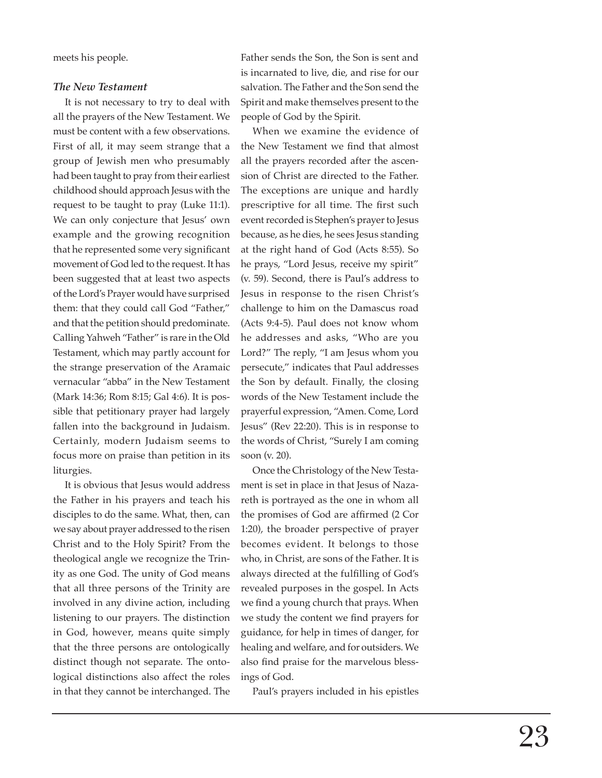meets his people.

#### *The New Testament*

It is not necessary to try to deal with all the prayers of the New Testament. We must be content with a few observations. First of all, it may seem strange that a group of Jewish men who presumably had been taught to pray from their earliest childhood should approach Jesus with the request to be taught to pray (Luke 11:1). We can only conjecture that Jesus' own example and the growing recognition that he represented some very significant movement of God led to the request. It has been suggested that at least two aspects of the Lord's Prayer would have surprised them: that they could call God "Father," and that the petition should predominate. Calling Yahweh "Father" is rare in the Old Testament, which may partly account for the strange preservation of the Aramaic vernacular "abba" in the New Testament (Mark 14:36; Rom 8:15; Gal 4:6). It is possible that petitionary prayer had largely fallen into the background in Judaism. Certainly, modern Judaism seems to focus more on praise than petition in its liturgies.

It is obvious that Jesus would address the Father in his prayers and teach his disciples to do the same. What, then, can we say about prayer addressed to the risen Christ and to the Holy Spirit? From the theological angle we recognize the Trinity as one God. The unity of God means that all three persons of the Trinity are involved in any divine action, including listening to our prayers. The distinction in God, however, means quite simply that the three persons are ontologically distinct though not separate. The ontological distinctions also affect the roles in that they cannot be interchanged. The Father sends the Son, the Son is sent and is incarnated to live, die, and rise for our salvation. The Father and the Son send the Spirit and make themselves present to the people of God by the Spirit.

When we examine the evidence of the New Testament we find that almost all the prayers recorded after the ascension of Christ are directed to the Father. The exceptions are unique and hardly prescriptive for all time. The first such event recorded is Stephen's prayer to Jesus because, as he dies, he sees Jesus standing at the right hand of God (Acts 8:55). So he prays, "Lord Jesus, receive my spirit" (v. 59). Second, there is Paul's address to Jesus in response to the risen Christ's challenge to him on the Damascus road (Acts 9:4-5). Paul does not know whom he addresses and asks, "Who are you Lord?" The reply, "I am Jesus whom you persecute," indicates that Paul addresses the Son by default. Finally, the closing words of the New Testament include the prayerful expression, "Amen. Come, Lord Jesus" (Rev 22:20). This is in response to the words of Christ, "Surely I am coming soon (v. 20).

Once the Christology of the New Testament is set in place in that Jesus of Nazareth is portrayed as the one in whom all the promises of God are affirmed (2 Cor 1:20), the broader perspective of prayer becomes evident. It belongs to those who, in Christ, are sons of the Father. It is always directed at the fulfilling of God's revealed purposes in the gospel. In Acts we find a young church that prays. When we study the content we find prayers for guidance, for help in times of danger, for healing and welfare, and for outsiders. We also find praise for the marvelous blessings of God.

Paul's prayers included in his epistles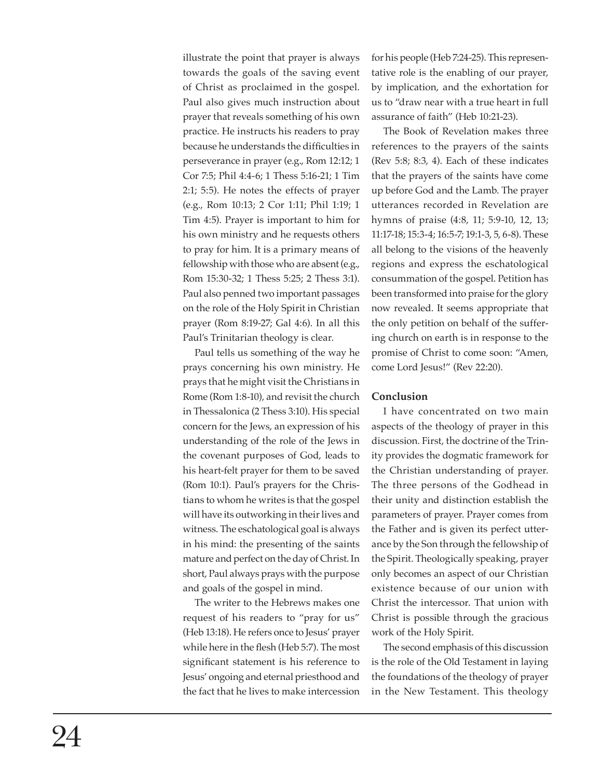illustrate the point that prayer is always towards the goals of the saving event of Christ as proclaimed in the gospel. Paul also gives much instruction about prayer that reveals something of his own practice. He instructs his readers to pray because he understands the difficulties in perseverance in prayer (e.g., Rom 12:12; 1 Cor 7:5; Phil 4:4-6; 1 Thess 5:16-21; 1 Tim 2:1; 5:5). He notes the effects of prayer (e.g., Rom 10:13; 2 Cor 1:11; Phil 1:19; 1 Tim 4:5). Prayer is important to him for his own ministry and he requests others to pray for him. It is a primary means of fellowship with those who are absent (e.g., Rom 15:30-32; 1 Thess 5:25; 2 Thess 3:1). Paul also penned two important passages on the role of the Holy Spirit in Christian prayer (Rom 8:19-27; Gal 4:6). In all this Paul's Trinitarian theology is clear.

Paul tells us something of the way he prays concerning his own ministry. He prays that he might visit the Christians in Rome (Rom 1:8-10), and revisit the church in Thessalonica (2 Thess 3:10). His special concern for the Jews, an expression of his understanding of the role of the Jews in the covenant purposes of God, leads to his heart-felt prayer for them to be saved (Rom 10:1). Paul's prayers for the Christians to whom he writes is that the gospel will have its outworking in their lives and witness. The eschatological goal is always in his mind: the presenting of the saints mature and perfect on the day of Christ. In short, Paul always prays with the purpose and goals of the gospel in mind.

The writer to the Hebrews makes one request of his readers to "pray for us" (Heb 13:18). He refers once to Jesus' prayer while here in the flesh (Heb 5:7). The most significant statement is his reference to Jesus' ongoing and eternal priesthood and the fact that he lives to make intercession

for his people (Heb 7:24-25). This representative role is the enabling of our prayer, by implication, and the exhortation for us to "draw near with a true heart in full assurance of faith" (Heb 10:21-23).

The Book of Revelation makes three references to the prayers of the saints (Rev 5:8; 8:3, 4). Each of these indicates that the prayers of the saints have come up before God and the Lamb. The prayer utterances recorded in Revelation are hymns of praise (4:8, 11; 5:9-10, 12, 13; 11:17-18; 15:3-4; 16:5-7; 19:1-3, 5, 6-8). These all belong to the visions of the heavenly regions and express the eschatological consummation of the gospel. Petition has been transformed into praise for the glory now revealed. It seems appropriate that the only petition on behalf of the suffering church on earth is in response to the promise of Christ to come soon: "Amen, come Lord Jesus!" (Rev 22:20).

#### **Conclusion**

I have concentrated on two main aspects of the theology of prayer in this discussion. First, the doctrine of the Trinity provides the dogmatic framework for the Christian understanding of prayer. The three persons of the Godhead in their unity and distinction establish the parameters of prayer. Prayer comes from the Father and is given its perfect utterance by the Son through the fellowship of the Spirit. Theologically speaking, prayer only becomes an aspect of our Christian existence because of our union with Christ the intercessor. That union with Christ is possible through the gracious work of the Holy Spirit.

The second emphasis of this discussion is the role of the Old Testament in laying the foundations of the theology of prayer in the New Testament. This theology